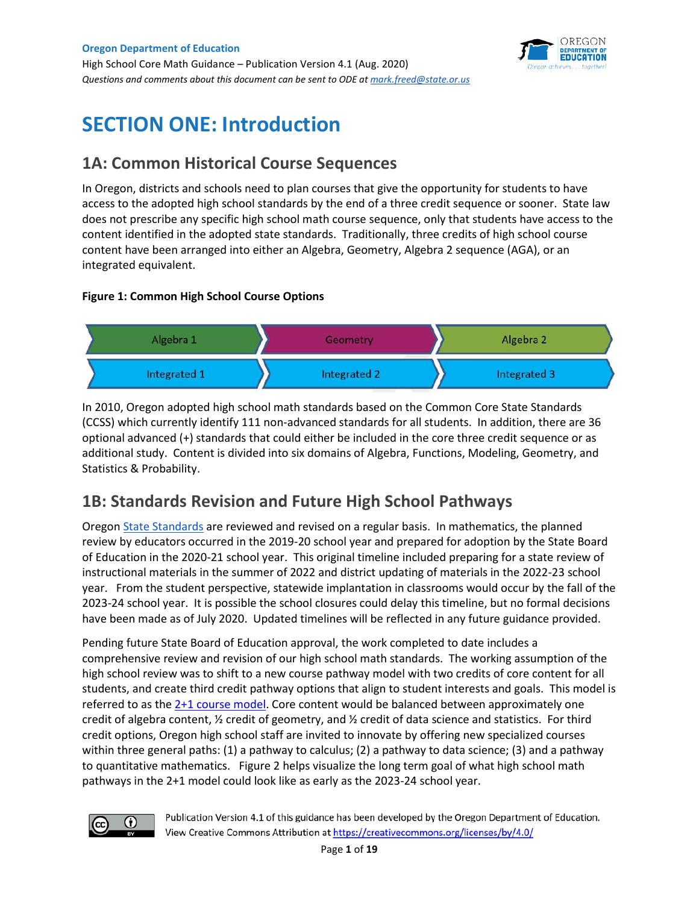High School Core Math Guidance – Publication Version 4.1 (Aug. 2020) *Questions and comments about this document can be sent to ODE a[t mark.freed@state.or.us](mailto:mark.freed@state.or.us)* 



# **SECTION ONE: Introduction**

## **1A: Common Historical Course Sequences**

In Oregon, districts and schools need to plan courses that give the opportunity for students to have access to the adopted high school standards by the end of a three credit sequence or sooner. State law does not prescribe any specific high school math course sequence, only that students have access to the content identified in the adopted state standards. Traditionally, three credits of high school course content have been arranged into either an Algebra, Geometry, Algebra 2 sequence (AGA), or an integrated equivalent.

#### **Figure 1: Common High School Course Options**



In 2010, Oregon adopted high school math standards based on the Common Core State Standards (CCSS) which currently identify 111 non-advanced standards for all students. In addition, there are 36 optional advanced (+) standards that could either be included in the core three credit sequence or as additional study. Content is divided into six domains of Algebra, Functions, Modeling, Geometry, and Statistics & Probability.

## **1B: Standards Revision and Future High School Pathways**

Oregon [State Standards](https://www.oregon.gov/ode/educator-resources/standards/Pages/default.aspx) are reviewed and revised on a regular basis. In mathematics, the planned review by educators occurred in the 2019-20 school year and prepared for adoption by the State Board of Education in the 2020-21 school year. This original timeline included preparing for a state review of instructional materials in the summer of 2022 and district updating of materials in the 2022-23 school year. From the student perspective, statewide implantation in classrooms would occur by the fall of the 2023-24 school year. It is possible the school closures could delay this timeline, but no formal decisions have been made as of July 2020. Updated timelines will be reflected in any future guidance provided.

Pending future State Board of Education approval, the work completed to date includes a comprehensive review and revision of our high school math standards. The working assumption of the high school review was to shift to a new course pathway model with two credits of core content for all students, and create third credit pathway options that align to student interests and goals. This model is referred to as the [2+1 course model.](https://www.oregon.gov/ode/educator-resources/standards/mathematics/Documents/2%20+%201%20Model.docx) Core content would be balanced between approximately one credit of algebra content, ½ credit of geometry, and ½ credit of data science and statistics. For third credit options, Oregon high school staff are invited to innovate by offering new specialized courses within three general paths: (1) a pathway to calculus; (2) a pathway to data science; (3) and a pathway to quantitative mathematics. Figure 2 helps visualize the long term goal of what high school math pathways in the 2+1 model could look like as early as the 2023-24 school year.

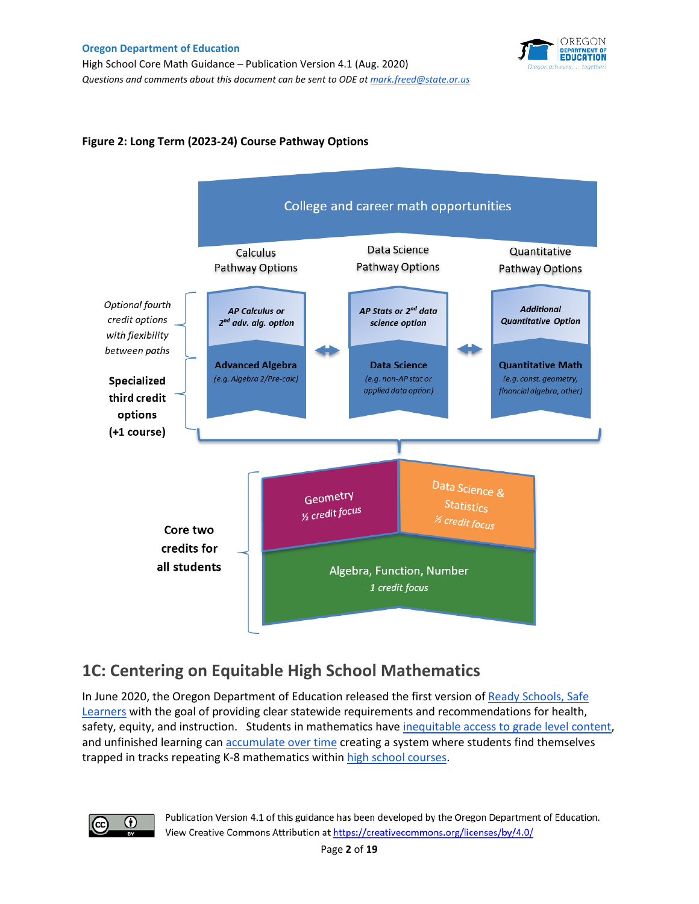High School Core Math Guidance – Publication Version 4.1 (Aug. 2020) *Questions and comments about this document can be sent to ODE a[t mark.freed@state.or.us](mailto:mark.freed@state.or.us)* 



#### **Figure 2: Long Term (2023-24) Course Pathway Options**



## **1C: Centering on Equitable High School Mathematics**

In June 2020, the Oregon Department of Education released the first version o[f](https://www.oregon.gov/ode/students-and-family/healthsafety/Pages/Planning-for-the-2020-21-School-Year.aspx) [Ready Schools, Safe](https://www.oregon.gov/ode/students-and-family/healthsafety/Pages/Planning-for-the-2020-21-School-Year.aspx)  [Learners](https://www.oregon.gov/ode/students-and-family/healthsafety/Pages/Planning-for-the-2020-21-School-Year.aspx) with the goal of providing clear statewide requirements and recommendations for health, saf[e](https://opportunitymyth.tntp.org/)ty, equity, and instruction. Students in mathematics have [inequitable access to grade level content,](https://opportunitymyth.tntp.org/) a[n](https://www.newclassrooms.org/icebergproblem/)d unfinished learning can [accumulate over time](https://www.newclassrooms.org/icebergproblem/) creating a system where students find themselves trapped in tracks repeating K-8 mathematics within [high school courses.](https://nces.ed.gov/nationsreportcard/hsts/math_curriculum/)

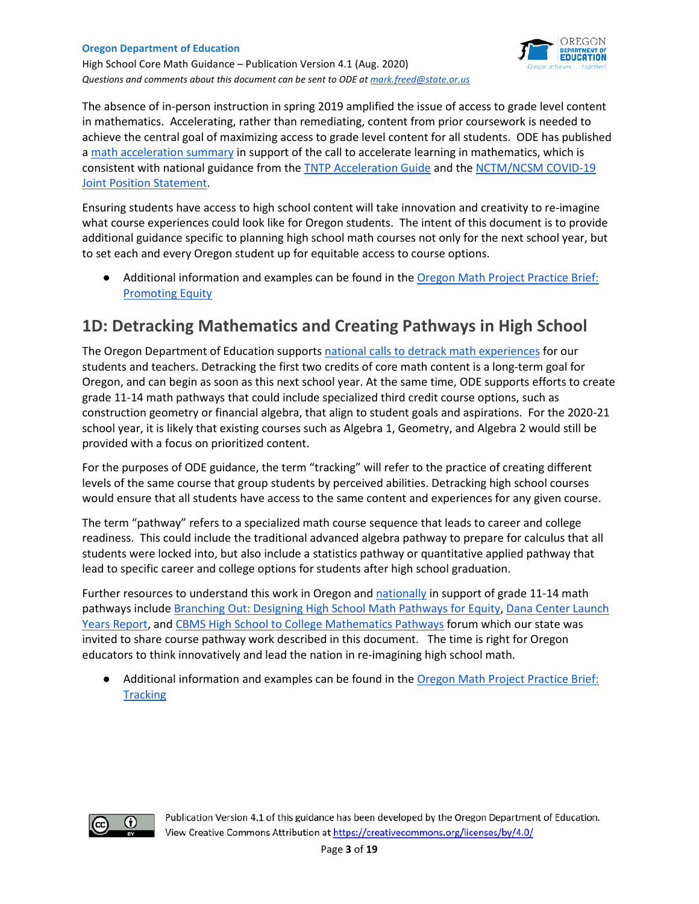

High School Core Math Guidance – Publication Version 4.1 (Aug. 2020) *Questions and comments about this document can be sent to ODE a[t mark.freed@state.or.us](mailto:mark.freed@state.or.us)* 

The absence of in-person instruction in spring 2019 amplified the issue of access to grade level content in mathematics. Accelerating, rather than remediating, content from prior coursework is needed to achieve the central goal of maximizing access to grade level content for all students. ODE has published a [math acceleration summary](https://drive.google.com/file/d/1uGH00vw2yI4aZAFaNVJbydrxIS84Jjyo/view?usp=sharing) in support of the call to accelerate learning in mathematics, which is consist[e](https://www.nctm.org/uploadedFiles/Research_and_Advocacy/NCTM_NCSM_Moving_Forward.pdf)nt with national guidance from the **TNTP** Acceleration Guide and the NCTM/NCSM COVID-19 [Joint Position Statement.](https://www.nctm.org/uploadedFiles/Research_and_Advocacy/NCTM_NCSM_Moving_Forward.pdf)

Ensuring students have access to high school content will take innovation and creativity to re-imagine what course experiences could look like for Oregon students. The intent of this document is to provide additional guidance specific to planning high school math courses not only for the next school year, but to set each and every Oregon student up for equitable access to course options.

● Additional information and examples can be found in the Oregon Math Project Practice Brief: [Promoting Equity](https://www.oercommons.org/courses/oregon-math-project-practice-brief-promoting-equity)

# **1D: Detracking Mathematics and Creating Pathways in High School**

The Oregon Department of Education supports [national calls to detrack math experiences](https://www.nctm.org/News-and-Calendar/Messages-from-the-President/Archive/Robert-Q_-Berry-III/Initiating-Critical-Conversations-on-the-Discontinuation-of-Tracking/) for our students and teachers. Detracking the first two credits of core math content is a long-term goal for Oregon, and can begin as soon as this next school year. At the same time, ODE supports efforts to create grade 11-14 math pathways that could include specialized third credit course options, such as construction geometry or financial algebra, that align to student goals and aspirations. For the 2020-21 school year, it is likely that existing courses such as Algebra 1, Geometry, and Algebra 2 would still be provided with a focus on prioritized content.

For the purposes of ODE guidance, the term "tracking" will refer to the practice of creating different levels of the same course that group students by perceived abilities. Detracking high school courses would ensure that all students have access to the same content and experiences for any given course.

The term "pathway" refers to a specialized math course sequence that leads to career and college readiness. This could include the traditional advanced algebra pathway to prepare for calculus that all students were locked into, but also include a statistics pathway or quantitative applied pathway that lead to specific career and college options for students after high school graduation.

Further resources to understand this work in Oregon an[d nationally](https://www.nctm.org/uploadedFiles/Standards_and_Positions/NCTM-News-Release-Catalyzing-Change-Case-Studies-Final.pdf) in support of grade 11-14 math pathways include [Branching Out: Designing High School Math Pathways for Equity,](https://justequations.org/resource/branching-out-designing-high-school-math-pathways-for-equity/) [Dana Center Launch](https://www.utdanacenter.org/our-work/k-12-education/launch-years)  [Years Report,](https://www.utdanacenter.org/our-work/k-12-education/launch-years) an[d](https://www.cbmsweb.org/cbms_forum_6/) [CBMS High School to College Mathematics Pathways](https://www.cbmsweb.org/cbms_forum_6/) forum which our state was invited to share course pathway work described in this document. The time is right for Oregon educators to think innovatively and lead the nation in re-imagining high school math.

● Additional information and examples can be found in the Oregon Math Project Practice Brief: **[Tracking](https://www.oercommons.org/courses/oregon-math-project-practice-brief-tracking?__hub_id=73)** 

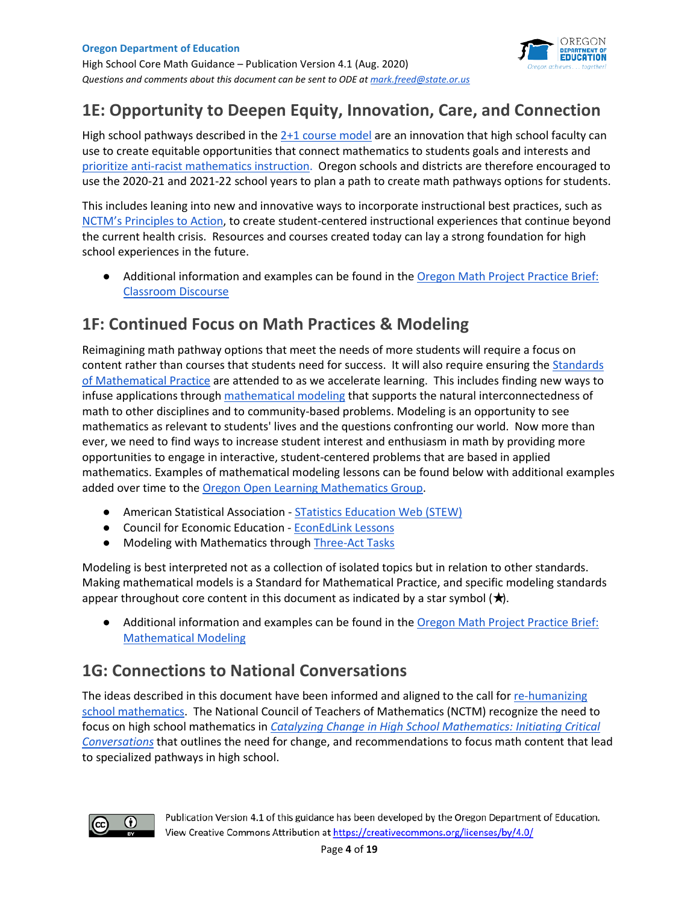

# **1E: Opportunity to Deepen Equity, Innovation, Care, and Connection**

High school pathways d[e](https://www.oregon.gov/ode/educator-resources/standards/mathematics/Documents/2%20+%201%20Model.docx)scribed in the  $2+1$  course model are an innovation that high school faculty can use to create equitable opportunities that connect mathematics to students goals and interests and [prioritize anti-racist mathematics instruction.](https://www.todos-math.org/assets/The%20Movement%20to%20Prioritize%20Antiracist%20Mathematics%20Ed%20by%20TODOS%20June%202020.edited.pdf) Oregon schools and districts are therefore encouraged to use the 2020-21 and 2021-22 school years to plan a path to create math pathways options for students.

This includes leaning into new and innovative ways to incorporate instructional best practices, such as [NCTM's Principles to Action,](https://www.nctm.org/PtA/) to create student-centered instructional experiences that continue beyond the current health crisis. Resources and courses created today can lay a strong foundation for high school experiences in the future.

● Additional information and examples can be found in the Oregon Math Project Practice Brief: [Classroom Discourse](https://www.oercommons.org/courses/oregon-math-project-practice-brief-classroom-discourse?__hub_id=73)

# **1F: Continued Focus on Math Practices & Modeling**

Reimagining math pathway options that meet the needs of more students will require a focus on content rather than courses that students need for success. It will also require ensuring th[e](https://www.map.mathshell.org/stds.php) [Standards](https://www.map.mathshell.org/stds.php)  [of Mathematical Practice](https://www.map.mathshell.org/stds.php) are attended to as we accelerate learning. This includes finding new ways to infuse applications through [mathematical modeling](https://www.nctm.org/Publications/Mathematics-Teacher/2016/Vol110/Issue5/Mathematical-Modeling-in-the-High-School-Curriculum/) that supports the natural interconnectedness of math to other disciplines and to community-based problems. Modeling is an opportunity to see mathematics as relevant to students' lives and the questions confronting our world. Now more than ever, we need to find ways to increase student interest and enthusiasm in math by providing more opportunities to engage in interactive, student-centered problems that are based in applied mathematics. Examples of mathematical modeling lessons can be found below with additional examples added over time to th[e Oregon Open Learning Mathematics Group.](https://www.oercommons.org/groups/oregon-mathematics/4871/?__hub_id=73)

- American Statistical Association - [STatistics Education Web \(STEW\)](https://www.amstat.org/asa/education/stew/home.aspx)
- Council for Economic Education  [EconEdLink Lessons](https://www.econedlink.org/)
- Modeling with Mathematics through [Three-Act Tasks](https://www.nctm.org/Publications/Teaching-Children-Mathematics/Blog/Modeling-with-Mathematics-through-Three-Act-Tasks/)

Modeling is best interpreted not as a collection of isolated topics but in relation to other standards. Making mathematical models is a Standard for Mathematical Practice, and specific modeling standards appear throughout core content in this document as indicated by a star symbol  $(\star)$ .

Additional information and examples can be found in the Oregon Math Project Practice Brief: [Mathematical Modeling](https://www.oercommons.org/courses/oregon-math-project-practice-brief-mathematical-modeling?__hub_id=73)

# **1G: Connections to National Conversations**

The ideas described in this document have been informed and aligned to the call for re-humanizing [school mathematics.](https://www.nctm.org/Store/Products/Annual-Perspectives-in-Mathematics-Education-2018/) The National Council of Teachers of Mathematics (NCTM) recognize the need to focus on high school mathematics i[n](https://my.nctm.org/blogs/my-nctm/2018/03/21/catalyzing-change-in-high-school-mathematics) *[Catalyzing Change in High School Mathematics: Initiating Critical](https://my.nctm.org/blogs/my-nctm/2018/03/21/catalyzing-change-in-high-school-mathematics)  [Conversations](https://my.nctm.org/blogs/my-nctm/2018/03/21/catalyzing-change-in-high-school-mathematics)* that outlines the need for change, and recommendations to focus math content that lead to specialized pathways in high school.

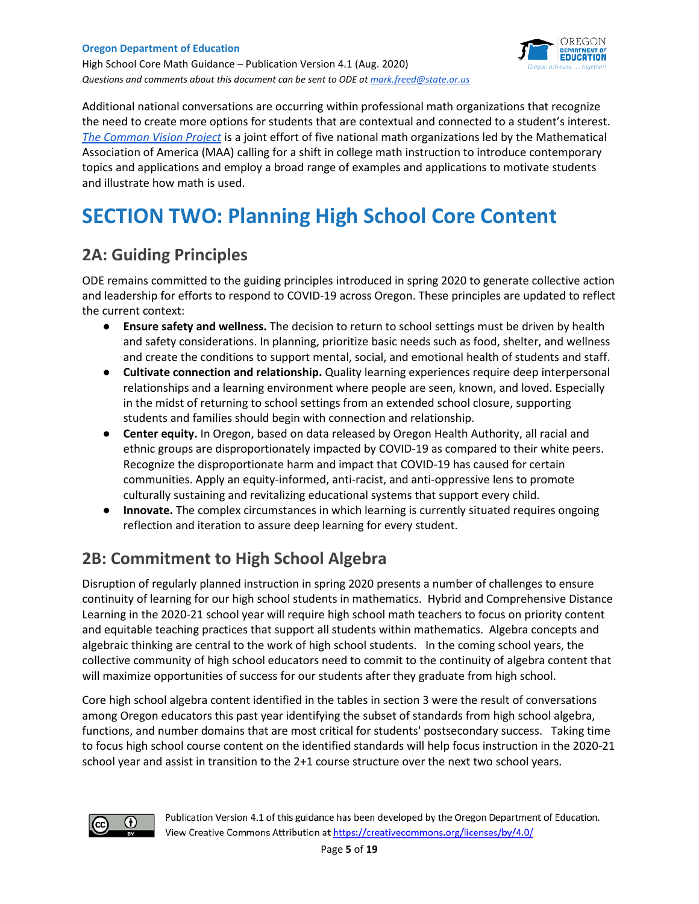

Additional national conversations are occurring within professional math organizations that recognize the need to create more options for students that are contextual and connected to a student's interest. *[The Common Vision Project](https://www.maa.org/sites/default/files/pdf/CommonVisionFinal.pdf)* is a joint effort of five national math organizations led by the Mathematical Association of America (MAA) calling for a shift in college math instruction to introduce contemporary topics and applications and employ a broad range of examples and applications to motivate students and illustrate how math is used.

# **SECTION TWO: Planning High School Core Content**

# **2A: Guiding Principles**

ODE remains committed to the guiding principles introduced in spring 2020 to generate collective action and leadership for efforts to respond to COVID-19 across Oregon. These principles are updated to reflect the current context:

- **Ensure safety and wellness.** The decision to return to school settings must be driven by health and safety considerations. In planning, prioritize basic needs such as food, shelter, and wellness and create the conditions to support mental, social, and emotional health of students and staff.
- **Cultivate connection and relationship.** Quality learning experiences require deep interpersonal relationships and a learning environment where people are seen, known, and loved. Especially in the midst of returning to school settings from an extended school closure, supporting students and families should begin with connection and relationship.
- **Center equity.** In Oregon, based on data released by Oregon Health Authority, all racial and ethnic groups are disproportionately impacted by COVID-19 as compared to their white peers. Recognize the disproportionate harm and impact that COVID-19 has caused for certain communities. Apply an equity-informed, anti-racist, and anti-oppressive lens to promote culturally sustaining and revitalizing educational systems that support every child.
- **Innovate.** The complex circumstances in which learning is currently situated requires ongoing reflection and iteration to assure deep learning for every student.

# **2B: Commitment to High School Algebra**

Disruption of regularly planned instruction in spring 2020 presents a number of challenges to ensure continuity of learning for our high school students in mathematics. Hybrid and Comprehensive Distance Learning in the 2020-21 school year will require high school math teachers to focus on priority content and equitable teaching practices that support all students within mathematics. Algebra concepts and algebraic thinking are central to the work of high school students. In the coming school years, the collective community of high school educators need to commit to the continuity of algebra content that will maximize opportunities of success for our students after they graduate from high school.

Core high school algebra content identified in the tables in section 3 were the result of conversations among Oregon educators this past year identifying the subset of standards from high school algebra, functions, and number domains that are most critical for students' postsecondary success. Taking time to focus high school course content on the identified standards will help focus instruction in the 2020-21 school year and assist in transition to the 2+1 course structure over the next two school years.

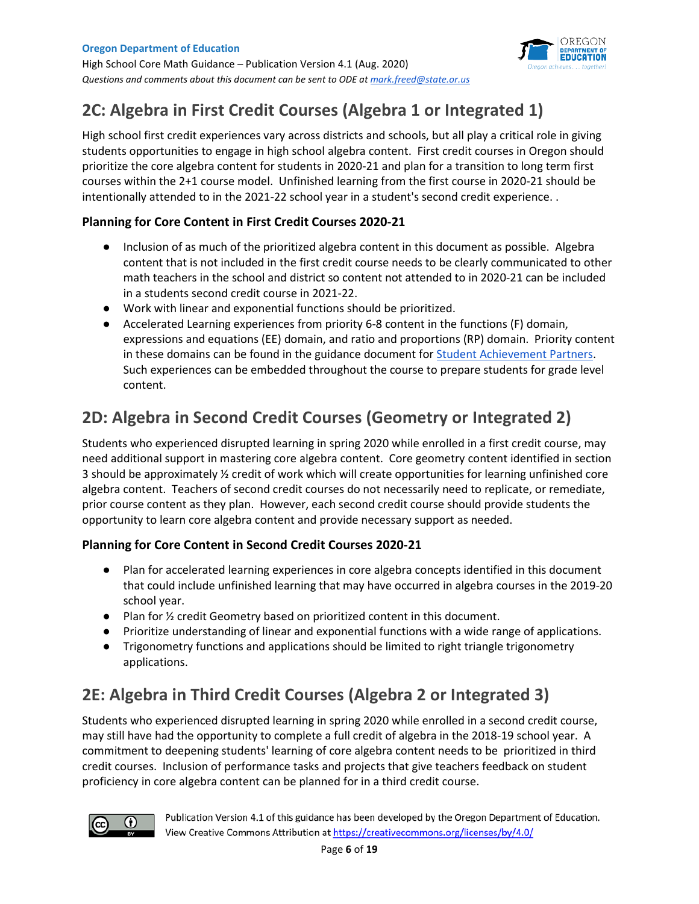



# **2C: Algebra in First Credit Courses (Algebra 1 or Integrated 1)**

High school first credit experiences vary across districts and schools, but all play a critical role in giving students opportunities to engage in high school algebra content. First credit courses in Oregon should prioritize the core algebra content for students in 2020-21 and plan for a transition to long term first courses within the 2+1 course model. Unfinished learning from the first course in 2020-21 should be intentionally attended to in the 2021-22 school year in a student's second credit experience. .

### **Planning for Core Content in First Credit Courses 2020-21**

- Inclusion of as much of the prioritized algebra content in this document as possible. Algebra content that is not included in the first credit course needs to be clearly communicated to other math teachers in the school and district so content not attended to in 2020-21 can be included in a students second credit course in 2021-22.
- Work with linear and exponential functions should be prioritized.
- Accelerated Learning experiences from priority 6-8 content in the functions (F) domain, expressions and equations (EE) domain, and ratio and proportions (RP) domain. Priority content in these domains can be found in the guidance document fo[r Student Achievement Partners.](https://achievethecore.org/page/3267/2020-21-priority-instructional-content-in-english-language-arts-literacy-and-mathematics) Such experiences can be embedded throughout the course to prepare students for grade level content.

# **2D: Algebra in Second Credit Courses (Geometry or Integrated 2)**

Students who experienced disrupted learning in spring 2020 while enrolled in a first credit course, may need additional support in mastering core algebra content. Core geometry content identified in section 3 should be approximately ½ credit of work which will create opportunities for learning unfinished core algebra content. Teachers of second credit courses do not necessarily need to replicate, or remediate, prior course content as they plan. However, each second credit course should provide students the opportunity to learn core algebra content and provide necessary support as needed.

#### **Planning for Core Content in Second Credit Courses 2020-21**

- Plan for accelerated learning experiences in core algebra concepts identified in this document that could include unfinished learning that may have occurred in algebra courses in the 2019-20 school year.
- Plan for ½ credit Geometry based on prioritized content in this document.
- Prioritize understanding of linear and exponential functions with a wide range of applications.
- Trigonometry functions and applications should be limited to right triangle trigonometry applications.

# **2E: Algebra in Third Credit Courses (Algebra 2 or Integrated 3)**

Students who experienced disrupted learning in spring 2020 while enrolled in a second credit course, may still have had the opportunity to complete a full credit of algebra in the 2018-19 school year. A commitment to deepening students' learning of core algebra content needs to be prioritized in third credit courses. Inclusion of performance tasks and projects that give teachers feedback on student proficiency in core algebra content can be planned for in a third credit course.

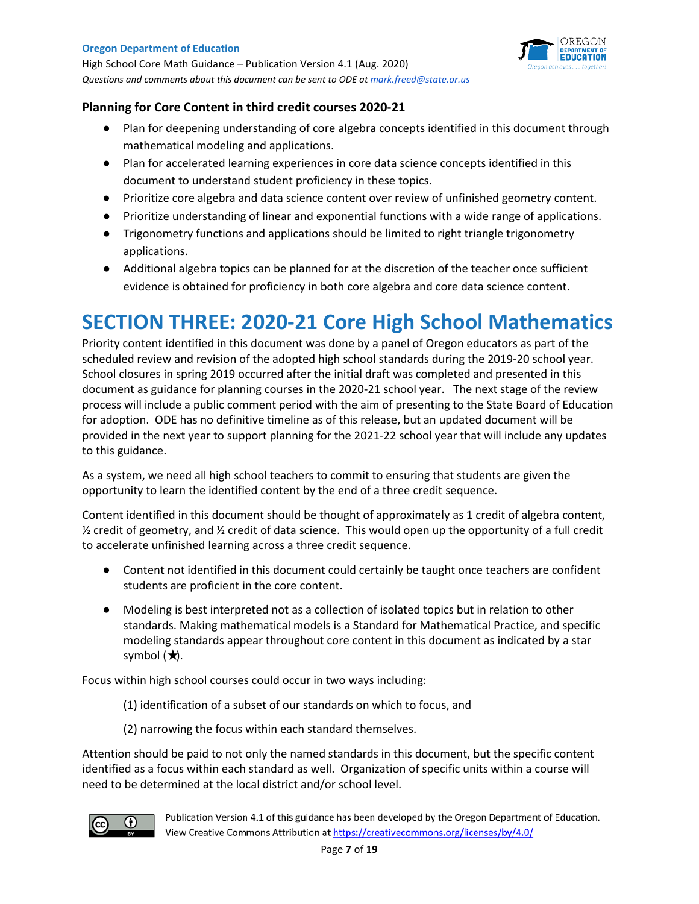High School Core Math Guidance – Publication Version 4.1 (Aug. 2020) *Questions and comments about this document can be sent to ODE a[t mark.freed@state.or.us](mailto:mark.freed@state.or.us)* 



#### **Planning for Core Content in third credit courses 2020-21**

- Plan for deepening understanding of core algebra concepts identified in this document through mathematical modeling and applications.
- Plan for accelerated learning experiences in core data science concepts identified in this document to understand student proficiency in these topics.
- Prioritize core algebra and data science content over review of unfinished geometry content.
- Prioritize understanding of linear and exponential functions with a wide range of applications.
- Trigonometry functions and applications should be limited to right triangle trigonometry applications.
- Additional algebra topics can be planned for at the discretion of the teacher once sufficient evidence is obtained for proficiency in both core algebra and core data science content.

# **SECTION THREE: 2020-21 Core High School Mathematics**

Priority content identified in this document was done by a panel of Oregon educators as part of the scheduled review and revision of the adopted high school standards during the 2019-20 school year. School closures in spring 2019 occurred after the initial draft was completed and presented in this document as guidance for planning courses in the 2020-21 school year. The next stage of the review process will include a public comment period with the aim of presenting to the State Board of Education for adoption. ODE has no definitive timeline as of this release, but an updated document will be provided in the next year to support planning for the 2021-22 school year that will include any updates to this guidance.

As a system, we need all high school teachers to commit to ensuring that students are given the opportunity to learn the identified content by the end of a three credit sequence.

Content identified in this document should be thought of approximately as 1 credit of algebra content,  $\frac{1}{2}$  credit of geometry, and  $\frac{1}{2}$  credit of data science. This would open up the opportunity of a full credit to accelerate unfinished learning across a three credit sequence.

- Content not identified in this document could certainly be taught once teachers are confident students are proficient in the core content.
- Modeling is best interpreted not as a collection of isolated topics but in relation to other standards. Making mathematical models is a Standard for Mathematical Practice, and specific modeling standards appear throughout core content in this document as indicated by a star symbol  $(\star).$

Focus within high school courses could occur in two ways including:

- (1) identification of a subset of our standards on which to focus, and
- (2) narrowing the focus within each standard themselves.

Attention should be paid to not only the named standards in this document, but the specific content identified as a focus within each standard as well. Organization of specific units within a course will need to be determined at the local district and/or school level.

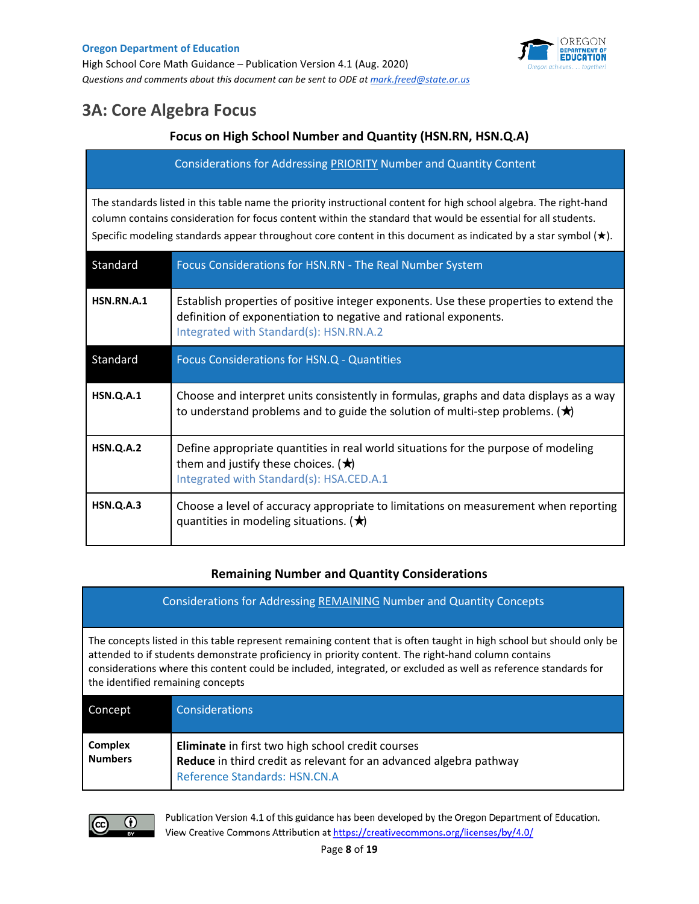

# **3A: Core Algebra Focus**

### **Focus on High School Number and Quantity (HSN.RN, HSN.Q.A)**

Considerations for Addressing PRIORITY Number and Quantity Content

The standards listed in this table name the priority instructional content for high school algebra. The right-hand column contains consideration for focus content within the standard that would be essential for all students. Specific modeling standards appear throughout core content in this document as indicated by a star symbol (★).

| Standard         | Focus Considerations for HSN.RN - The Real Number System                                                                                                                                              |
|------------------|-------------------------------------------------------------------------------------------------------------------------------------------------------------------------------------------------------|
| HSN.RN.A.1       | Establish properties of positive integer exponents. Use these properties to extend the<br>definition of exponentiation to negative and rational exponents.<br>Integrated with Standard(s): HSN.RN.A.2 |
| Standard         | Focus Considerations for HSN.Q - Quantities                                                                                                                                                           |
| HSN.Q.A.1        | Choose and interpret units consistently in formulas, graphs and data displays as a way<br>to understand problems and to guide the solution of multi-step problems. $(\star)$                          |
| <b>HSN.Q.A.2</b> | Define appropriate quantities in real world situations for the purpose of modeling<br>them and justify these choices. $(\star)$<br>Integrated with Standard(s): HSA.CED.A.1                           |
| <b>HSN.Q.A.3</b> | Choose a level of accuracy appropriate to limitations on measurement when reporting<br>quantities in modeling situations. $(\bigstar)$                                                                |

#### **Remaining Number and Quantity Considerations**

| <b>Considerations for Addressing REMAINING Number and Quantity Concepts</b>                                                                                                                                                                                                                                                                                                         |
|-------------------------------------------------------------------------------------------------------------------------------------------------------------------------------------------------------------------------------------------------------------------------------------------------------------------------------------------------------------------------------------|
| The concepts listed in this table represent remaining content that is often taught in high school but should only be<br>attended to if students demonstrate proficiency in priority content. The right-hand column contains<br>considerations where this content could be included, integrated, or excluded as well as reference standards for<br>the identified remaining concepts |

| Concept                          | <b>Considerations</b>                                                                                                                                    |
|----------------------------------|----------------------------------------------------------------------------------------------------------------------------------------------------------|
| <b>Complex</b><br><b>Numbers</b> | Eliminate in first two high school credit courses<br>Reduce in third credit as relevant for an advanced algebra pathway<br>Reference Standards: HSN.CN.A |

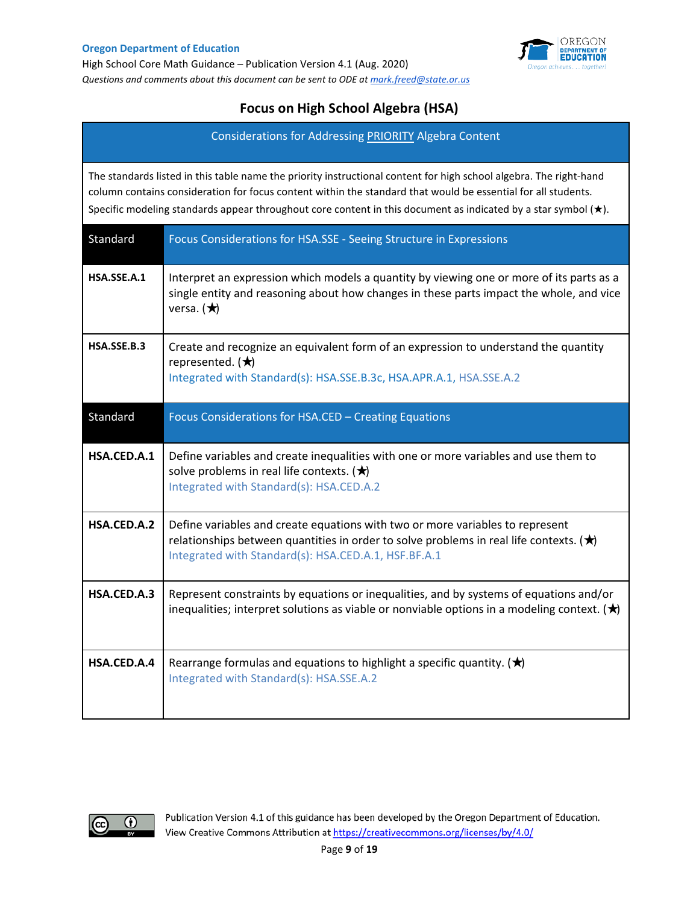

## **Focus on High School Algebra (HSA)**

Considerations for Addressing PRIORITY Algebra Content

The standards listed in this table name the priority instructional content for high school algebra. The right-hand column contains consideration for focus content within the standard that would be essential for all students. Specific modeling standards appear throughout core content in this document as indicated by a star symbol (★).

| Standard    | Focus Considerations for HSA.SSE - Seeing Structure in Expressions                                                                                                                                                                      |
|-------------|-----------------------------------------------------------------------------------------------------------------------------------------------------------------------------------------------------------------------------------------|
| HSA.SSE.A.1 | Interpret an expression which models a quantity by viewing one or more of its parts as a<br>single entity and reasoning about how changes in these parts impact the whole, and vice<br>versa. $(\star)$                                 |
| HSA.SSE.B.3 | Create and recognize an equivalent form of an expression to understand the quantity<br>represented. $(\star)$<br>Integrated with Standard(s): HSA.SSE.B.3c, HSA.APR.A.1, HSA.SSE.A.2                                                    |
| Standard    | Focus Considerations for HSA.CED - Creating Equations                                                                                                                                                                                   |
| HSA.CED.A.1 | Define variables and create inequalities with one or more variables and use them to<br>solve problems in real life contexts. $(\bigstar)$<br>Integrated with Standard(s): HSA.CED.A.2                                                   |
| HSA.CED.A.2 | Define variables and create equations with two or more variables to represent<br>relationships between quantities in order to solve problems in real life contexts. ( $\star$ )<br>Integrated with Standard(s): HSA.CED.A.1, HSF.BF.A.1 |
| HSA.CED.A.3 | Represent constraints by equations or inequalities, and by systems of equations and/or<br>inequalities; interpret solutions as viable or nonviable options in a modeling context. $(\bigstar)$                                          |
| HSA.CED.A.4 | Rearrange formulas and equations to highlight a specific quantity. $(\star)$<br>Integrated with Standard(s): HSA.SSE.A.2                                                                                                                |

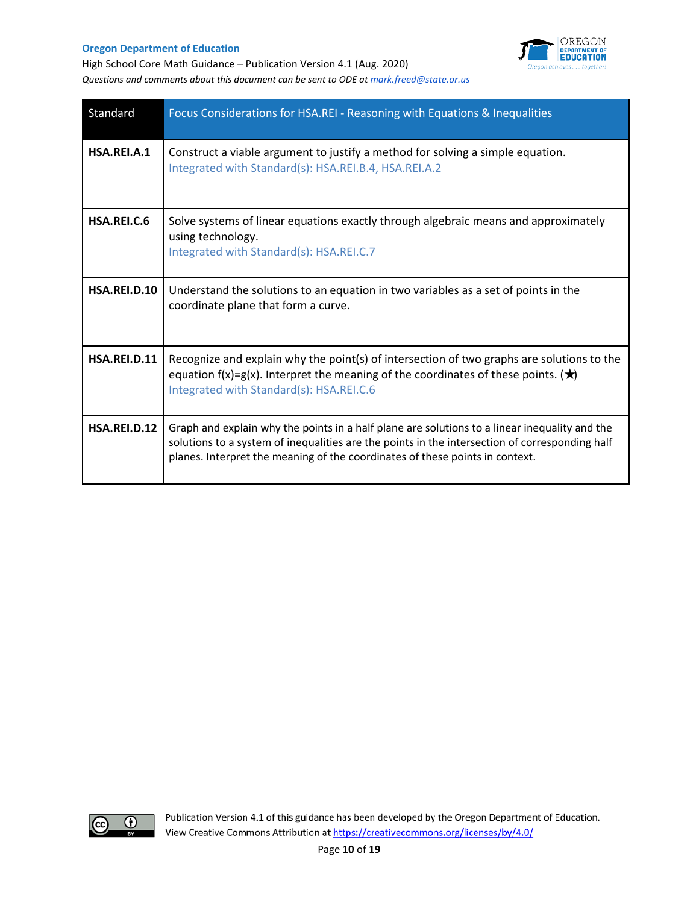

High School Core Math Guidance – Publication Version 4.1 (Aug. 2020) *Questions and comments about this document can be sent to ODE a[t mark.freed@state.or.us](mailto:mark.freed@state.or.us)* 

| Standard     | Focus Considerations for HSA.REI - Reasoning with Equations & Inequalities                                                                                                                                                                                                      |
|--------------|---------------------------------------------------------------------------------------------------------------------------------------------------------------------------------------------------------------------------------------------------------------------------------|
| HSA.REI.A.1  | Construct a viable argument to justify a method for solving a simple equation.<br>Integrated with Standard(s): HSA.REI.B.4, HSA.REI.A.2                                                                                                                                         |
| HSA.REI.C.6  | Solve systems of linear equations exactly through algebraic means and approximately<br>using technology.<br>Integrated with Standard(s): HSA.REI.C.7                                                                                                                            |
| HSA.REI.D.10 | Understand the solutions to an equation in two variables as a set of points in the<br>coordinate plane that form a curve.                                                                                                                                                       |
| HSA.REI.D.11 | Recognize and explain why the point(s) of intersection of two graphs are solutions to the<br>equation f(x)=g(x). Interpret the meaning of the coordinates of these points. ( $\star$ )<br>Integrated with Standard(s): HSA.REI.C.6                                              |
| HSA.REI.D.12 | Graph and explain why the points in a half plane are solutions to a linear inequality and the<br>solutions to a system of inequalities are the points in the intersection of corresponding half<br>planes. Interpret the meaning of the coordinates of these points in context. |

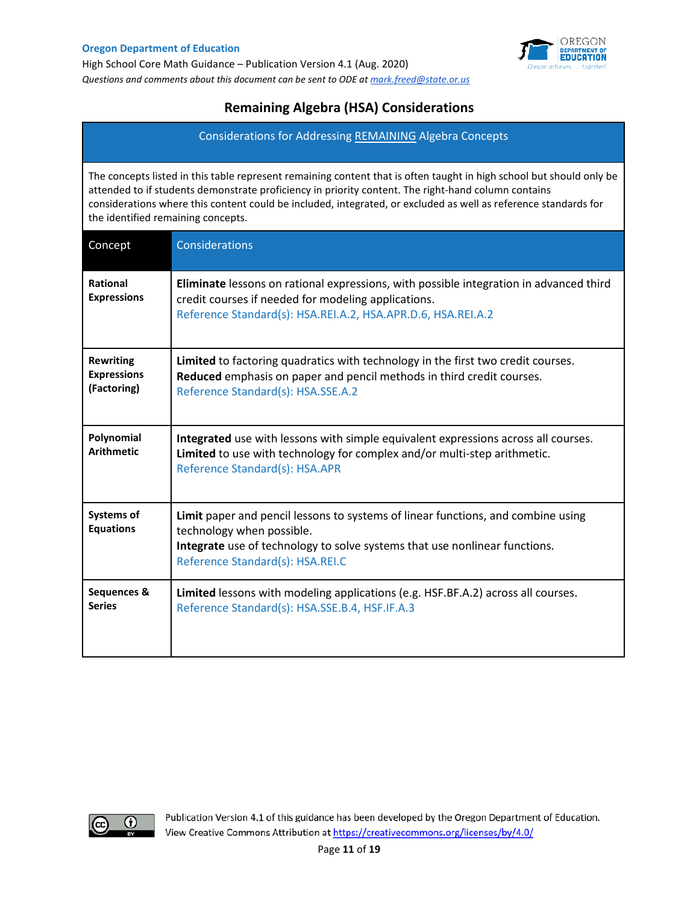

## **Remaining Algebra (HSA) Considerations**

Considerations for Addressing REMAINING Algebra Concepts

The concepts listed in this table represent remaining content that is often taught in high school but should only be attended to if students demonstrate proficiency in priority content. The right-hand column contains considerations where this content could be included, integrated, or excluded as well as reference standards for the identified remaining concepts.

| Concept                                               | Considerations                                                                                                                                                                                                                  |
|-------------------------------------------------------|---------------------------------------------------------------------------------------------------------------------------------------------------------------------------------------------------------------------------------|
| Rational<br><b>Expressions</b>                        | Eliminate lessons on rational expressions, with possible integration in advanced third<br>credit courses if needed for modeling applications.<br>Reference Standard(s): HSA.REI.A.2, HSA.APR.D.6, HSA.REI.A.2                   |
| <b>Rewriting</b><br><b>Expressions</b><br>(Factoring) | Limited to factoring quadratics with technology in the first two credit courses.<br>Reduced emphasis on paper and pencil methods in third credit courses.<br>Reference Standard(s): HSA.SSE.A.2                                 |
| Polynomial<br><b>Arithmetic</b>                       | Integrated use with lessons with simple equivalent expressions across all courses.<br>Limited to use with technology for complex and/or multi-step arithmetic.<br>Reference Standard(s): HSA.APR                                |
| <b>Systems of</b><br><b>Equations</b>                 | Limit paper and pencil lessons to systems of linear functions, and combine using<br>technology when possible.<br>Integrate use of technology to solve systems that use nonlinear functions.<br>Reference Standard(s): HSA.REI.C |
| Sequences &<br><b>Series</b>                          | Limited lessons with modeling applications (e.g. HSF.BF.A.2) across all courses.<br>Reference Standard(s): HSA.SSE.B.4, HSF.IF.A.3                                                                                              |

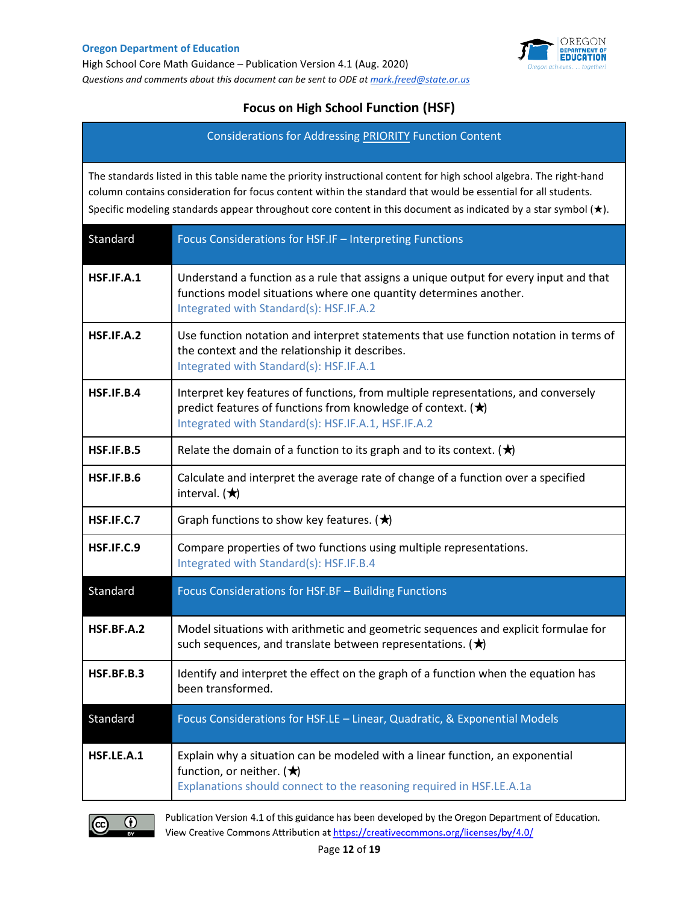

## **Focus on High School Function (HSF)**

Considerations for Addressing PRIORITY Function Content

The standards listed in this table name the priority instructional content for high school algebra. The right-hand column contains consideration for focus content within the standard that would be essential for all students. Specific modeling standards appear throughout core content in this document as indicated by a star symbol (★).

| Standard   | Focus Considerations for HSF.IF - Interpreting Functions                                                                                                                                                        |
|------------|-----------------------------------------------------------------------------------------------------------------------------------------------------------------------------------------------------------------|
| HSF.IF.A.1 | Understand a function as a rule that assigns a unique output for every input and that<br>functions model situations where one quantity determines another.<br>Integrated with Standard(s): HSF.IF.A.2           |
| HSF.IF.A.2 | Use function notation and interpret statements that use function notation in terms of<br>the context and the relationship it describes.<br>Integrated with Standard(s): HSF.IF.A.1                              |
| HSF.IF.B.4 | Interpret key features of functions, from multiple representations, and conversely<br>predict features of functions from knowledge of context. $(\star)$<br>Integrated with Standard(s): HSF.IF.A.1, HSF.IF.A.2 |
| HSE.IF.B.5 | Relate the domain of a function to its graph and to its context. $(\bigstar)$                                                                                                                                   |
| HSF.IF.B.6 | Calculate and interpret the average rate of change of a function over a specified<br>interval. $(\star)$                                                                                                        |
| HSF.IF.C.7 | Graph functions to show key features. $(\bigstar)$                                                                                                                                                              |
| HSF.IF.C.9 | Compare properties of two functions using multiple representations.<br>Integrated with Standard(s): HSF.IF.B.4                                                                                                  |
| Standard   | Focus Considerations for HSF.BF - Building Functions                                                                                                                                                            |
| HSF.BF.A.2 | Model situations with arithmetic and geometric sequences and explicit formulae for<br>such sequences, and translate between representations. $(\bigstar)$                                                       |
| HSF.BF.B.3 | Identify and interpret the effect on the graph of a function when the equation has<br>been transformed.                                                                                                         |
| Standard   | Focus Considerations for HSF.LE - Linear, Quadratic, & Exponential Models                                                                                                                                       |
| HSF.LE.A.1 | Explain why a situation can be modeled with a linear function, an exponential<br>function, or neither. $(\star)$<br>Explanations should connect to the reasoning required in HSF.LE.A.1a                        |

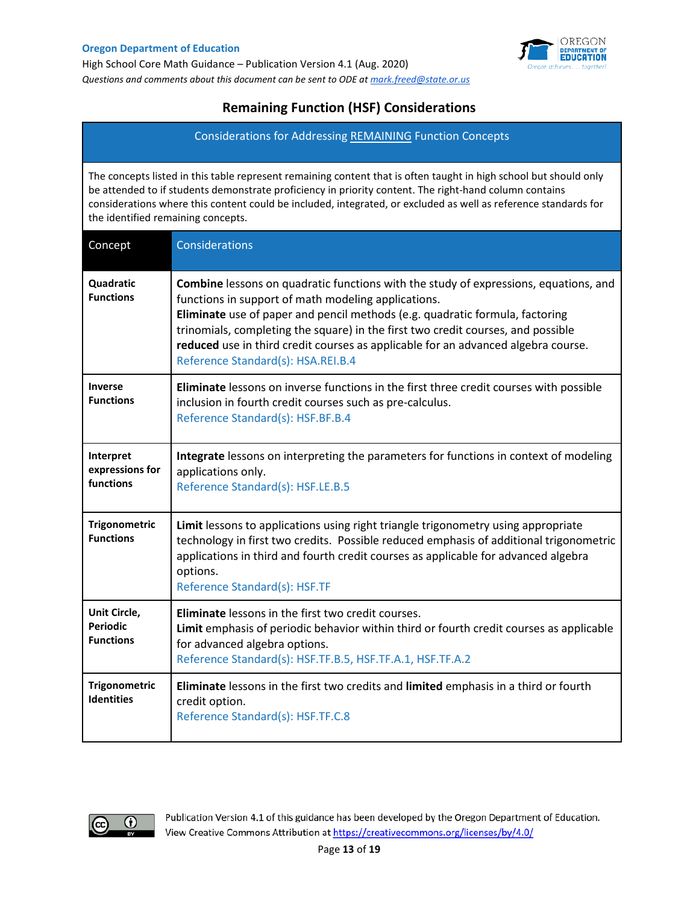

## **Remaining Function (HSF) Considerations**

Considerations for Addressing REMAINING Function Concepts

The concepts listed in this table represent remaining content that is often taught in high school but should only be attended to if students demonstrate proficiency in priority content. The right-hand column contains considerations where this content could be included, integrated, or excluded as well as reference standards for the identified remaining concepts.

| Concept                                             | Considerations                                                                                                                                                                                                                                                                                                                                                                                                                                    |
|-----------------------------------------------------|---------------------------------------------------------------------------------------------------------------------------------------------------------------------------------------------------------------------------------------------------------------------------------------------------------------------------------------------------------------------------------------------------------------------------------------------------|
| Quadratic<br><b>Functions</b>                       | <b>Combine</b> lessons on quadratic functions with the study of expressions, equations, and<br>functions in support of math modeling applications.<br>Eliminate use of paper and pencil methods (e.g. quadratic formula, factoring<br>trinomials, completing the square) in the first two credit courses, and possible<br>reduced use in third credit courses as applicable for an advanced algebra course.<br>Reference Standard(s): HSA.REI.B.4 |
| <b>Inverse</b><br><b>Functions</b>                  | Eliminate lessons on inverse functions in the first three credit courses with possible<br>inclusion in fourth credit courses such as pre-calculus.<br>Reference Standard(s): HSF.BF.B.4                                                                                                                                                                                                                                                           |
| Interpret<br>expressions for<br>functions           | Integrate lessons on interpreting the parameters for functions in context of modeling<br>applications only.<br>Reference Standard(s): HSF.LE.B.5                                                                                                                                                                                                                                                                                                  |
| <b>Trigonometric</b><br><b>Functions</b>            | Limit lessons to applications using right triangle trigonometry using appropriate<br>technology in first two credits. Possible reduced emphasis of additional trigonometric<br>applications in third and fourth credit courses as applicable for advanced algebra<br>options.<br>Reference Standard(s): HSF.TF                                                                                                                                    |
| Unit Circle,<br><b>Periodic</b><br><b>Functions</b> | <b>Eliminate</b> lessons in the first two credit courses.<br>Limit emphasis of periodic behavior within third or fourth credit courses as applicable<br>for advanced algebra options.<br>Reference Standard(s): HSF.TF.B.5, HSF.TF.A.1, HSF.TF.A.2                                                                                                                                                                                                |
| <b>Trigonometric</b><br><b>Identities</b>           | Eliminate lessons in the first two credits and limited emphasis in a third or fourth<br>credit option.<br>Reference Standard(s): HSF.TF.C.8                                                                                                                                                                                                                                                                                                       |

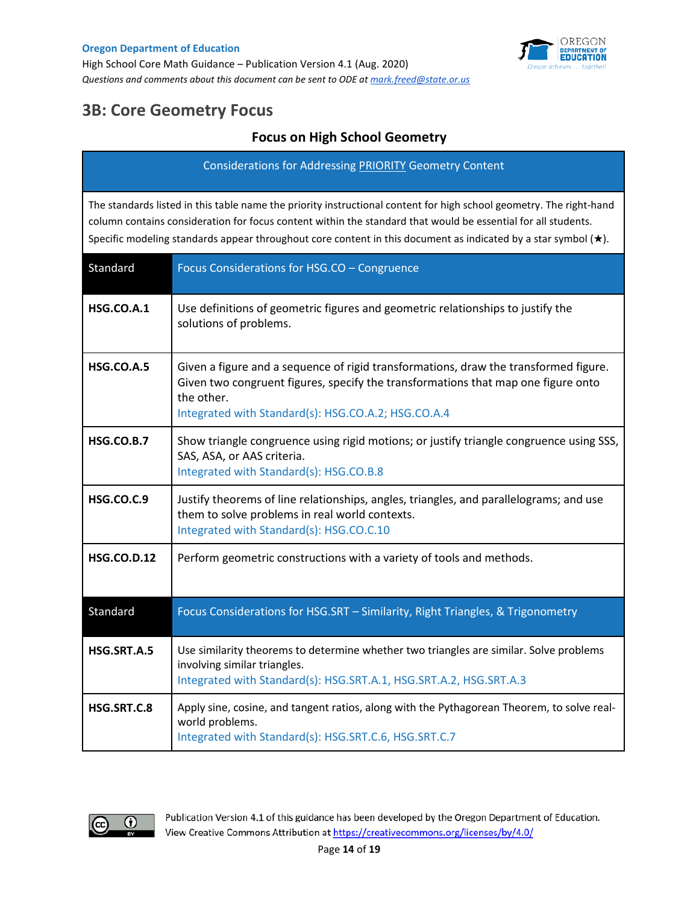

# **3B: Core Geometry Focus**

## **Focus on High School Geometry**

Considerations for Addressing PRIORITY Geometry Content

The standards listed in this table name the priority instructional content for high school geometry. The right-hand column contains consideration for focus content within the standard that would be essential for all students. Specific modeling standards appear throughout core content in this document as indicated by a star symbol (★).

| Standard           | Focus Considerations for HSG.CO - Congruence                                                                                                                                                                                                   |
|--------------------|------------------------------------------------------------------------------------------------------------------------------------------------------------------------------------------------------------------------------------------------|
| <b>HSG.CO.A.1</b>  | Use definitions of geometric figures and geometric relationships to justify the<br>solutions of problems.                                                                                                                                      |
| <b>HSG.CO.A.5</b>  | Given a figure and a sequence of rigid transformations, draw the transformed figure.<br>Given two congruent figures, specify the transformations that map one figure onto<br>the other.<br>Integrated with Standard(s): HSG.CO.A.2; HSG.CO.A.4 |
| <b>HSG.CO.B.7</b>  | Show triangle congruence using rigid motions; or justify triangle congruence using SSS,<br>SAS, ASA, or AAS criteria.<br>Integrated with Standard(s): HSG.CO.B.8                                                                               |
| <b>HSG.CO.C.9</b>  | Justify theorems of line relationships, angles, triangles, and parallelograms; and use<br>them to solve problems in real world contexts.<br>Integrated with Standard(s): HSG.CO.C.10                                                           |
| <b>HSG.CO.D.12</b> | Perform geometric constructions with a variety of tools and methods.                                                                                                                                                                           |
| Standard           | Focus Considerations for HSG.SRT - Similarity, Right Triangles, & Trigonometry                                                                                                                                                                 |
| HSG.SRT.A.5        | Use similarity theorems to determine whether two triangles are similar. Solve problems<br>involving similar triangles.<br>Integrated with Standard(s): HSG.SRT.A.1, HSG.SRT.A.2, HSG.SRT.A.3                                                   |
| HSG.SRT.C.8        | Apply sine, cosine, and tangent ratios, along with the Pythagorean Theorem, to solve real-<br>world problems.<br>Integrated with Standard(s): HSG.SRT.C.6, HSG.SRT.C.7                                                                         |

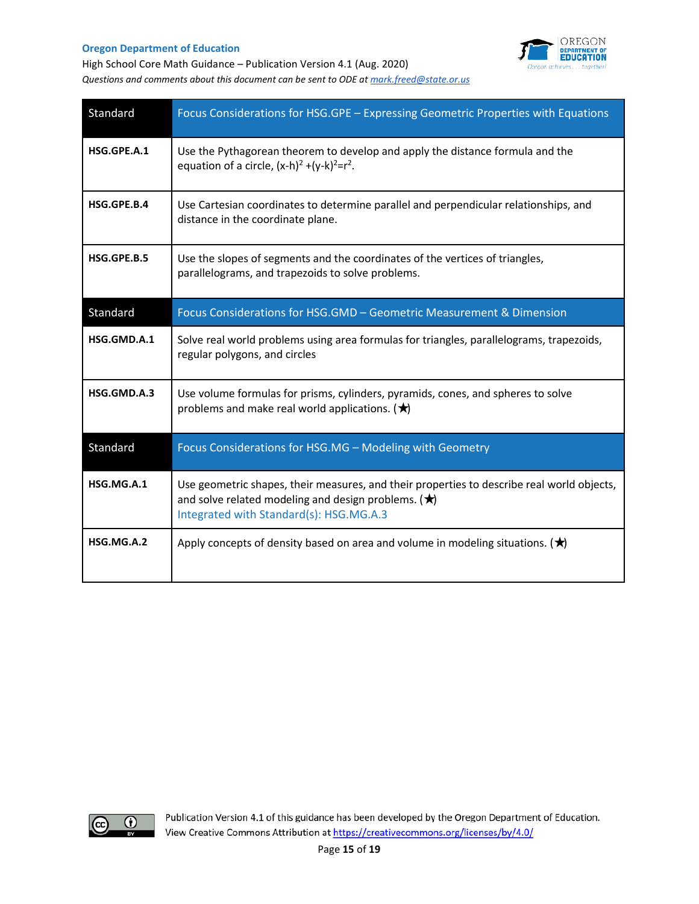

High School Core Math Guidance – Publication Version 4.1 (Aug. 2020) *Questions and comments about this document can be sent to ODE a[t mark.freed@state.or.us](mailto:mark.freed@state.or.us)* 

| Standard    | Focus Considerations for HSG.GPE - Expressing Geometric Properties with Equations                                                                                                                       |
|-------------|---------------------------------------------------------------------------------------------------------------------------------------------------------------------------------------------------------|
| HSG.GPE.A.1 | Use the Pythagorean theorem to develop and apply the distance formula and the<br>equation of a circle, $(x-h)^2 + (y-k)^2 = r^2$ .                                                                      |
| HSG.GPE.B.4 | Use Cartesian coordinates to determine parallel and perpendicular relationships, and<br>distance in the coordinate plane.                                                                               |
| HSG.GPE.B.5 | Use the slopes of segments and the coordinates of the vertices of triangles,<br>parallelograms, and trapezoids to solve problems.                                                                       |
| Standard    | Focus Considerations for HSG.GMD - Geometric Measurement & Dimension                                                                                                                                    |
| HSG.GMD.A.1 | Solve real world problems using area formulas for triangles, parallelograms, trapezoids,<br>regular polygons, and circles                                                                               |
| HSG.GMD.A.3 | Use volume formulas for prisms, cylinders, pyramids, cones, and spheres to solve<br>problems and make real world applications. $(\bigstar)$                                                             |
| Standard    | Focus Considerations for HSG.MG - Modeling with Geometry                                                                                                                                                |
| HSG.MG.A.1  | Use geometric shapes, their measures, and their properties to describe real world objects,<br>and solve related modeling and design problems. ( $\bigstar$ )<br>Integrated with Standard(s): HSG.MG.A.3 |
| HSG.MG.A.2  | Apply concepts of density based on area and volume in modeling situations. $(\bigstar)$                                                                                                                 |

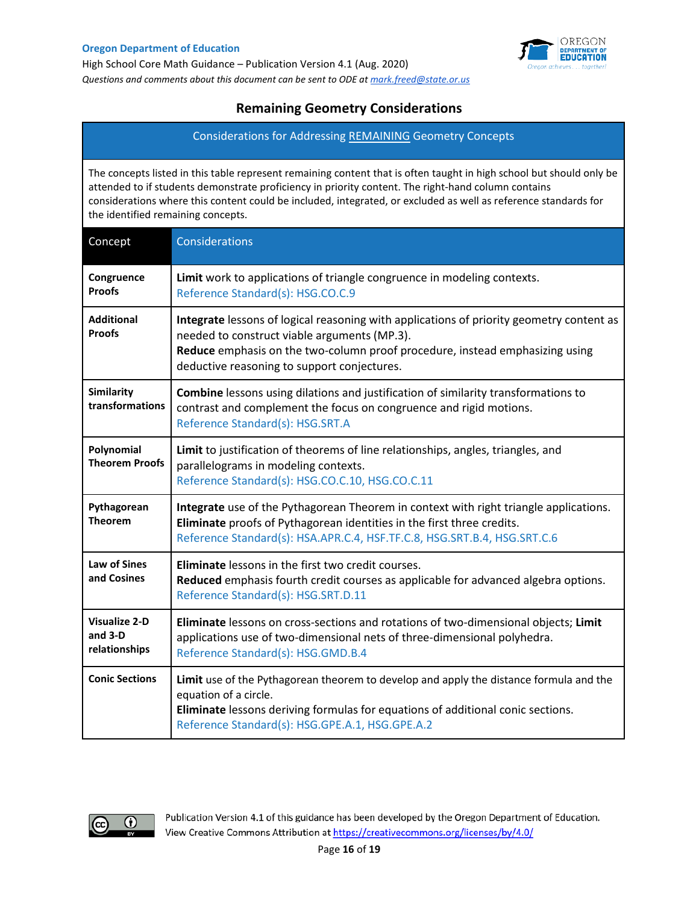

### **Remaining Geometry Considerations**

Considerations for Addressing REMAINING Geometry Concepts

The concepts listed in this table represent remaining content that is often taught in high school but should only be attended to if students demonstrate proficiency in priority content. The right-hand column contains considerations where this content could be included, integrated, or excluded as well as reference standards for the identified remaining concepts.

| Concept                                          | Considerations                                                                                                                                                                                                                                                          |
|--------------------------------------------------|-------------------------------------------------------------------------------------------------------------------------------------------------------------------------------------------------------------------------------------------------------------------------|
| Congruence<br><b>Proofs</b>                      | Limit work to applications of triangle congruence in modeling contexts.<br>Reference Standard(s): HSG.CO.C.9                                                                                                                                                            |
| <b>Additional</b><br><b>Proofs</b>               | Integrate lessons of logical reasoning with applications of priority geometry content as<br>needed to construct viable arguments (MP.3).<br>Reduce emphasis on the two-column proof procedure, instead emphasizing using<br>deductive reasoning to support conjectures. |
| Similarity<br>transformations                    | <b>Combine</b> lessons using dilations and justification of similarity transformations to<br>contrast and complement the focus on congruence and rigid motions.<br>Reference Standard(s): HSG.SRT.A                                                                     |
| Polynomial<br><b>Theorem Proofs</b>              | Limit to justification of theorems of line relationships, angles, triangles, and<br>parallelograms in modeling contexts.<br>Reference Standard(s): HSG.CO.C.10, HSG.CO.C.11                                                                                             |
| Pythagorean<br><b>Theorem</b>                    | Integrate use of the Pythagorean Theorem in context with right triangle applications.<br>Eliminate proofs of Pythagorean identities in the first three credits.<br>Reference Standard(s): HSA.APR.C.4, HSF.TF.C.8, HSG.SRT.B.4, HSG.SRT.C.6                             |
| Law of Sines<br>and Cosines                      | Eliminate lessons in the first two credit courses.<br>Reduced emphasis fourth credit courses as applicable for advanced algebra options.<br>Reference Standard(s): HSG.SRT.D.11                                                                                         |
| <b>Visualize 2-D</b><br>and 3-D<br>relationships | Eliminate lessons on cross-sections and rotations of two-dimensional objects; Limit<br>applications use of two-dimensional nets of three-dimensional polyhedra.<br>Reference Standard(s): HSG.GMD.B.4                                                                   |
| <b>Conic Sections</b>                            | Limit use of the Pythagorean theorem to develop and apply the distance formula and the<br>equation of a circle.<br>Eliminate lessons deriving formulas for equations of additional conic sections.<br>Reference Standard(s): HSG.GPE.A.1, HSG.GPE.A.2                   |

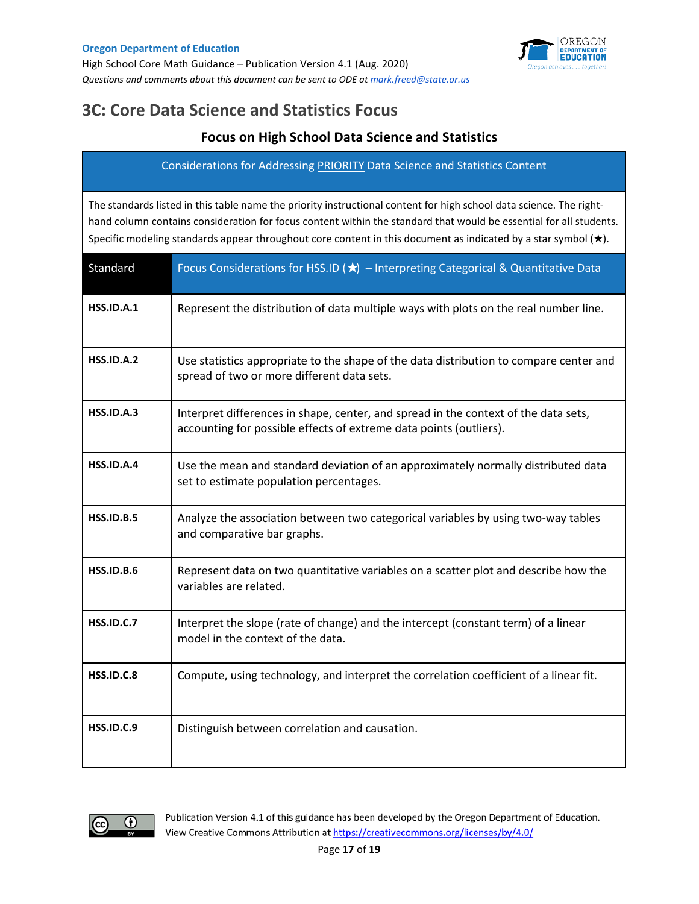

## **3C: Core Data Science and Statistics Focus**

### **Focus on High School Data Science and Statistics**

Considerations for Addressing PRIORITY Data Science and Statistics Content

The standards listed in this table name the priority instructional content for high school data science. The righthand column contains consideration for focus content within the standard that would be essential for all students. Specific modeling standards appear throughout core content in this document as indicated by a star symbol (★).

| Standard          | Focus Considerations for HSS.ID $(\star)$ - Interpreting Categorical & Quantitative Data                                                                  |
|-------------------|-----------------------------------------------------------------------------------------------------------------------------------------------------------|
| <b>HSS.ID.A.1</b> | Represent the distribution of data multiple ways with plots on the real number line.                                                                      |
| <b>HSS.ID.A.2</b> | Use statistics appropriate to the shape of the data distribution to compare center and<br>spread of two or more different data sets.                      |
| <b>HSS.ID.A.3</b> | Interpret differences in shape, center, and spread in the context of the data sets,<br>accounting for possible effects of extreme data points (outliers). |
| <b>HSS.ID.A.4</b> | Use the mean and standard deviation of an approximately normally distributed data<br>set to estimate population percentages.                              |
| <b>HSS.ID.B.5</b> | Analyze the association between two categorical variables by using two-way tables<br>and comparative bar graphs.                                          |
| <b>HSS.ID.B.6</b> | Represent data on two quantitative variables on a scatter plot and describe how the<br>variables are related.                                             |
| <b>HSS.ID.C.7</b> | Interpret the slope (rate of change) and the intercept (constant term) of a linear<br>model in the context of the data.                                   |
| <b>HSS.ID.C.8</b> | Compute, using technology, and interpret the correlation coefficient of a linear fit.                                                                     |
| <b>HSS.ID.C.9</b> | Distinguish between correlation and causation.                                                                                                            |

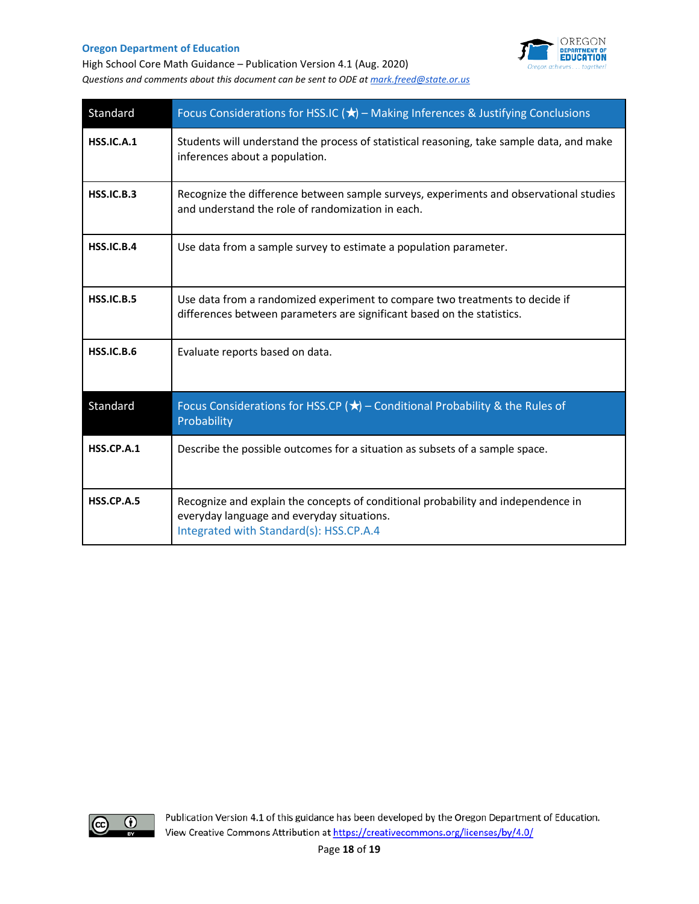

High School Core Math Guidance – Publication Version 4.1 (Aug. 2020) *Questions and comments about this document can be sent to ODE a[t mark.freed@state.or.us](mailto:mark.freed@state.or.us)* 

| Standard          | Focus Considerations for HSS.IC ( $\bigstar$ ) – Making Inferences & Justifying Conclusions                                                                                |
|-------------------|----------------------------------------------------------------------------------------------------------------------------------------------------------------------------|
| <b>HSS.IC.A.1</b> | Students will understand the process of statistical reasoning, take sample data, and make<br>inferences about a population.                                                |
| HSS.IC.B.3        | Recognize the difference between sample surveys, experiments and observational studies<br>and understand the role of randomization in each.                                |
| <b>HSS.IC.B.4</b> | Use data from a sample survey to estimate a population parameter.                                                                                                          |
| <b>HSS.IC.B.5</b> | Use data from a randomized experiment to compare two treatments to decide if<br>differences between parameters are significant based on the statistics.                    |
| <b>HSS.IC.B.6</b> | Evaluate reports based on data.                                                                                                                                            |
| Standard          | Focus Considerations for HSS.CP ( $\bigstar$ ) – Conditional Probability & the Rules of<br>Probability                                                                     |
| <b>HSS.CP.A.1</b> | Describe the possible outcomes for a situation as subsets of a sample space.                                                                                               |
| <b>HSS.CP.A.5</b> | Recognize and explain the concepts of conditional probability and independence in<br>everyday language and everyday situations.<br>Integrated with Standard(s): HSS.CP.A.4 |